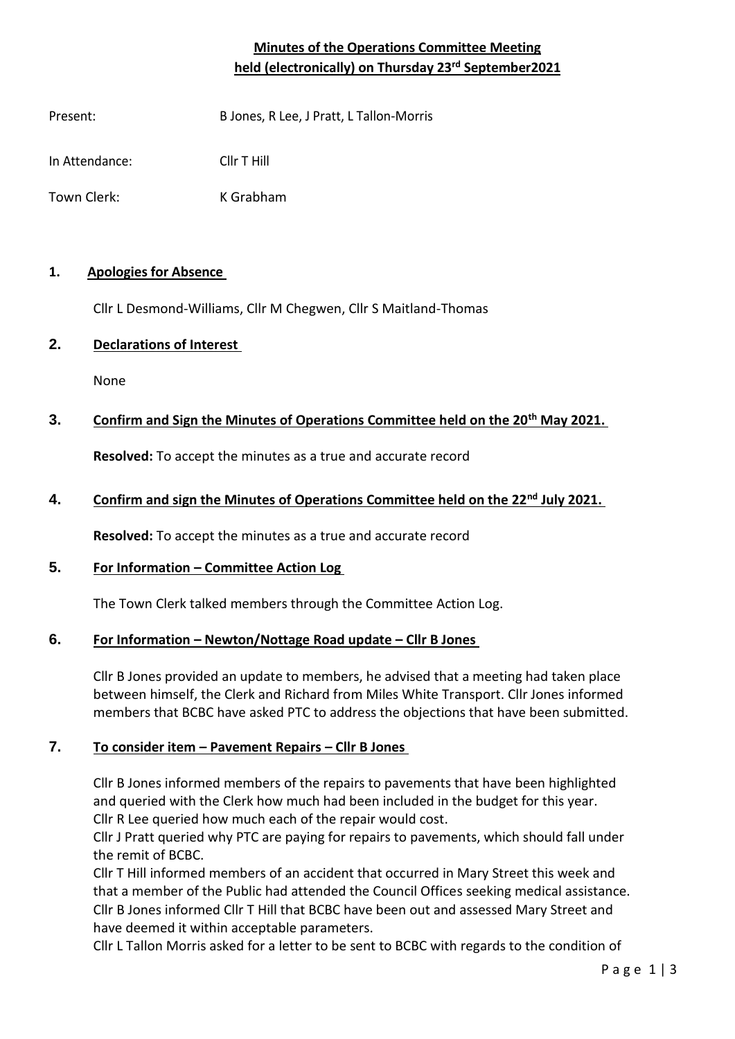# **Minutes of the Operations Committee Meeting held (electronically) on Thursday 23rd September2021**

Present: B Jones, R Lee, J Pratt, L Tallon-Morris

In Attendance: Cllr T Hill

Town Clerk: K Grabham

## **1. Apologies for Absence**

Cllr L Desmond-Williams, Cllr M Chegwen, Cllr S Maitland-Thomas

# **2. Declarations of Interest**

None

# **3. Confirm and Sign the Minutes of Operations Committee held on the 20th May 2021.**

**Resolved:** To accept the minutes as a true and accurate record

## **4. Confirm and sign the Minutes of Operations Committee held on the 22nd July 2021.**

**Resolved:** To accept the minutes as a true and accurate record

#### **5. For Information – Committee Action Log**

The Town Clerk talked members through the Committee Action Log.

#### **6. For Information – Newton/Nottage Road update – Cllr B Jones**

Cllr B Jones provided an update to members, he advised that a meeting had taken place between himself, the Clerk and Richard from Miles White Transport. Cllr Jones informed members that BCBC have asked PTC to address the objections that have been submitted.

# **7. To consider item – Pavement Repairs – Cllr B Jones**

Cllr B Jones informed members of the repairs to pavements that have been highlighted and queried with the Clerk how much had been included in the budget for this year. Cllr R Lee queried how much each of the repair would cost.

Cllr J Pratt queried why PTC are paying for repairs to pavements, which should fall under the remit of BCBC.

Cllr T Hill informed members of an accident that occurred in Mary Street this week and that a member of the Public had attended the Council Offices seeking medical assistance. Cllr B Jones informed Cllr T Hill that BCBC have been out and assessed Mary Street and have deemed it within acceptable parameters.

Cllr L Tallon Morris asked for a letter to be sent to BCBC with regards to the condition of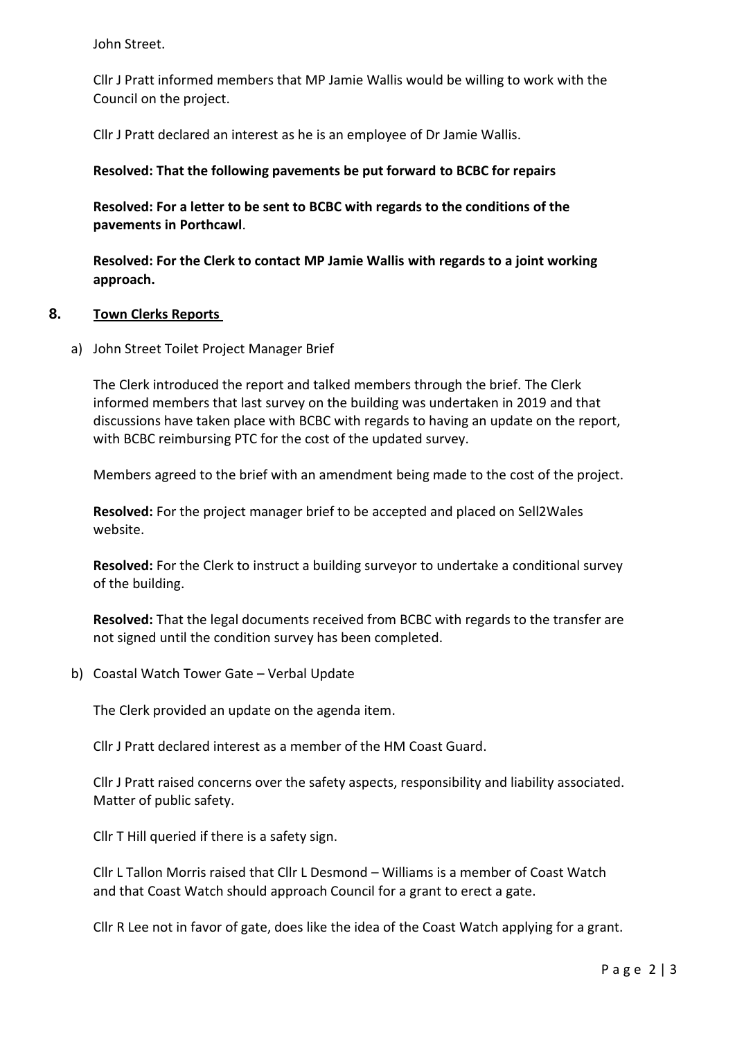John Street.

Cllr J Pratt informed members that MP Jamie Wallis would be willing to work with the Council on the project.

Cllr J Pratt declared an interest as he is an employee of Dr Jamie Wallis.

#### **Resolved: That the following pavements be put forward to BCBC for repairs**

**Resolved: For a letter to be sent to BCBC with regards to the conditions of the pavements in Porthcawl**.

**Resolved: For the Clerk to contact MP Jamie Wallis with regards to a joint working approach.** 

#### **8. Town Clerks Reports**

a) John Street Toilet Project Manager Brief

The Clerk introduced the report and talked members through the brief. The Clerk informed members that last survey on the building was undertaken in 2019 and that discussions have taken place with BCBC with regards to having an update on the report, with BCBC reimbursing PTC for the cost of the updated survey.

Members agreed to the brief with an amendment being made to the cost of the project.

**Resolved:** For the project manager brief to be accepted and placed on Sell2Wales website.

**Resolved:** For the Clerk to instruct a building surveyor to undertake a conditional survey of the building.

**Resolved:** That the legal documents received from BCBC with regards to the transfer are not signed until the condition survey has been completed.

b) Coastal Watch Tower Gate – Verbal Update

The Clerk provided an update on the agenda item.

Cllr J Pratt declared interest as a member of the HM Coast Guard.

Cllr J Pratt raised concerns over the safety aspects, responsibility and liability associated. Matter of public safety.

Cllr T Hill queried if there is a safety sign.

Cllr L Tallon Morris raised that Cllr L Desmond – Williams is a member of Coast Watch and that Coast Watch should approach Council for a grant to erect a gate.

Cllr R Lee not in favor of gate, does like the idea of the Coast Watch applying for a grant.